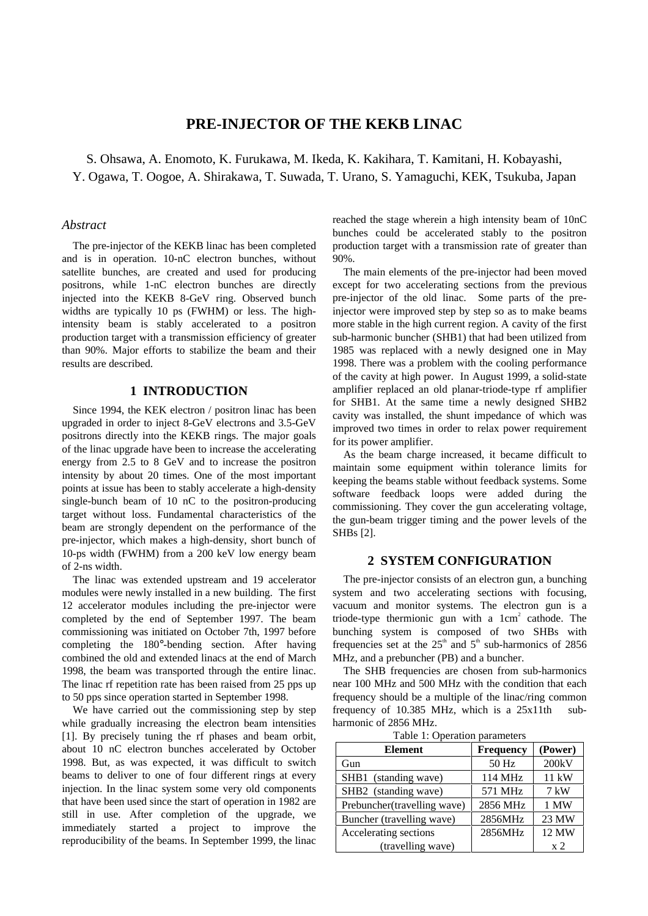# **PRE-INJECTOR OF THE KEKB LINAC**

S. Ohsawa, A. Enomoto, K. Furukawa, M. Ikeda, K. Kakihara, T. Kamitani, H. Kobayashi, Y. Ogawa, T. Oogoe, A. Shirakawa, T. Suwada, T. Urano, S. Yamaguchi, KEK, Tsukuba, Japan

# *Abstract*

The pre-injector of the KEKB linac has been completed and is in operation. 10-nC electron bunches, without satellite bunches, are created and used for producing positrons, while 1-nC electron bunches are directly injected into the KEKB 8-GeV ring. Observed bunch widths are typically 10 ps (FWHM) or less. The highintensity beam is stably accelerated to a positron production target with a transmission efficiency of greater than 90%. Major efforts to stabilize the beam and their results are described.

## **1 INTRODUCTION**

Since 1994, the KEK electron / positron linac has been upgraded in order to inject 8-GeV electrons and 3.5-GeV positrons directly into the KEKB rings. The major goals of the linac upgrade have been to increase the accelerating energy from 2.5 to 8 GeV and to increase the positron intensity by about 20 times. One of the most important points at issue has been to stably accelerate a high-density single-bunch beam of 10 nC to the positron-producing target without loss. Fundamental characteristics of the beam are strongly dependent on the performance of the pre-injector, which makes a high-density, short bunch of 10-ps width (FWHM) from a 200 keV low energy beam of 2-ns width.

The linac was extended upstream and 19 accelerator modules were newly installed in a new building. The first 12 accelerator modules including the pre-injector were completed by the end of September 1997. The beam commissioning was initiated on October 7th, 1997 before completing the 180°-bending section. After having combined the old and extended linacs at the end of March 1998, the beam was transported through the entire linac. The linac rf repetition rate has been raised from 25 pps up to 50 pps since operation started in September 1998.

We have carried out the commissioning step by step while gradually increasing the electron beam intensities [1]. By precisely tuning the rf phases and beam orbit, about 10 nC electron bunches accelerated by October 1998. But, as was expected, it was difficult to switch beams to deliver to one of four different rings at every injection. In the linac system some very old components that have been used since the start of operation in 1982 are still in use. After completion of the upgrade, we immediately started a project to improve the reproducibility of the beams. In September 1999, the linac reached the stage wherein a high intensity beam of 10nC bunches could be accelerated stably to the positron production target with a transmission rate of greater than 90%.

The main elements of the pre-injector had been moved except for two accelerating sections from the previous pre-injector of the old linac. Some parts of the preinjector were improved step by step so as to make beams more stable in the high current region. A cavity of the first sub-harmonic buncher (SHB1) that had been utilized from 1985 was replaced with a newly designed one in May 1998. There was a problem with the cooling performance of the cavity at high power. In August 1999, a solid-state amplifier replaced an old planar-triode-type rf amplifier for SHB1. At the same time a newly designed SHB2 cavity was installed, the shunt impedance of which was improved two times in order to relax power requirement for its power amplifier.

As the beam charge increased, it became difficult to maintain some equipment within tolerance limits for keeping the beams stable without feedback systems. Some software feedback loops were added during the commissioning. They cover the gun accelerating voltage, the gun-beam trigger timing and the power levels of the SHBs [2].

# **2 SYSTEM CONFIGURATION**

The pre-injector consists of an electron gun, a bunching system and two accelerating sections with focusing, vacuum and monitor systems. The electron gun is a triode-type thermionic gun with a  $1 \text{ cm}^2$  cathode. The bunching system is composed of two SHBs with frequencies set at the  $25<sup>th</sup>$  and  $5<sup>th</sup>$  sub-harmonics of 2856 MHz, and a prebuncher (PB) and a buncher.

The SHB frequencies are chosen from sub-harmonics near 100 MHz and 500 MHz with the condition that each frequency should be a multiple of the linac/ring common frequency of  $10.385$  MHz, which is a  $25x11$ th subharmonic of 2856 MHz.

| Table 1: Operation parameters |                     |  |  |
|-------------------------------|---------------------|--|--|
| <b>Element</b>                | Frequency   (Power) |  |  |

| Element                     | Frequency | (Power)         |
|-----------------------------|-----------|-----------------|
| Gun                         | 50 Hz     | 200kV           |
| SHB1 (standing wave)        | 114 MHz   | $11 \text{ kW}$ |
| SHB2 (standing wave)        | 571 MHz   | $7 \text{ kW}$  |
| Prebuncher(travelling wave) | 2856 MHz  | 1 MW            |
| Buncher (travelling wave)   | 2856MHz   | 23 MW           |
| Accelerating sections       | 2856MHz   | 12 MW           |
| (travelling wave)           |           | x <sub>2</sub>  |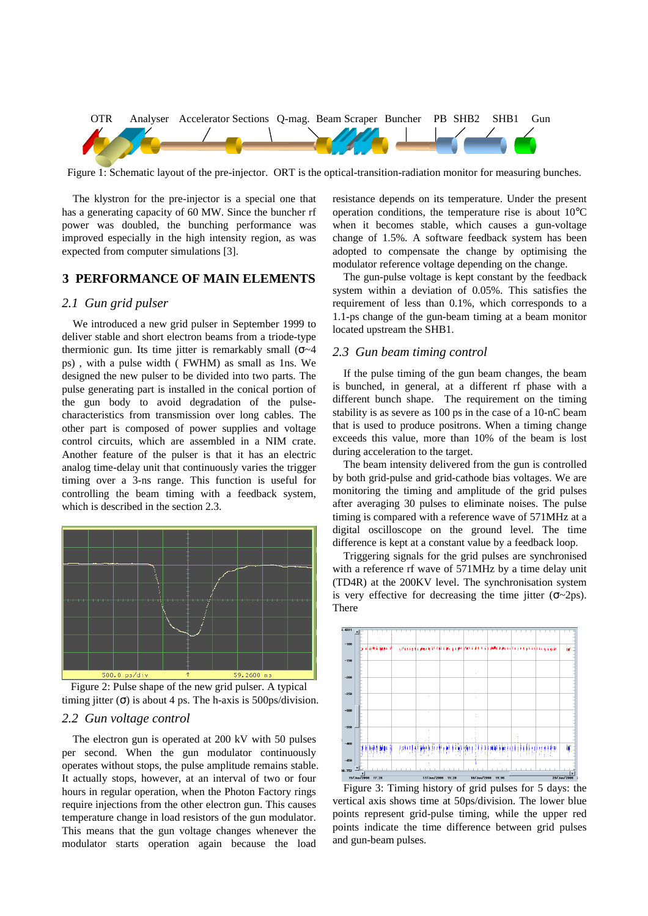

Figure 1: Schematic layout of the pre-injector. ORT is the optical-transition-radiation monitor for measuring bunches.

The klystron for the pre-injector is a special one that has a generating capacity of 60 MW. Since the buncher rf power was doubled, the bunching performance was improved especially in the high intensity region, as was expected from computer simulations [3].

### **3 PERFORMANCE OF MAIN ELEMENTS**

### *2.1 Gun grid pulser*

We introduced a new grid pulser in September 1999 to deliver stable and short electron beams from a triode-type thermionic gun. Its time jitter is remarkably small ( $\sigma$ ~4 ps) , with a pulse width ( FWHM) as small as 1ns. We designed the new pulser to be divided into two parts. The pulse generating part is installed in the conical portion of the gun body to avoid degradation of the pulsecharacteristics from transmission over long cables. The other part is composed of power supplies and voltage control circuits, which are assembled in a NIM crate. Another feature of the pulser is that it has an electric analog time-delay unit that continuously varies the trigger timing over a 3-ns range. This function is useful for controlling the beam timing with a feedback system, which is described in the section 2.3.



Figure 2: Pulse shape of the new grid pulser. A typical timing jitter  $(\sigma)$  is about 4 ps. The h-axis is 500ps/division.

# *2.2 Gun voltage control*

The electron gun is operated at 200 kV with 50 pulses per second. When the gun modulator continuously operates without stops, the pulse amplitude remains stable. It actually stops, however, at an interval of two or four hours in regular operation, when the Photon Factory rings require injections from the other electron gun. This causes temperature change in load resistors of the gun modulator. This means that the gun voltage changes whenever the modulator starts operation again because the load

resistance depends on its temperature. Under the present operation conditions, the temperature rise is about 10°C when it becomes stable, which causes a gun-voltage change of 1.5%. A software feedback system has been adopted to compensate the change by optimising the modulator reference voltage depending on the change.

The gun-pulse voltage is kept constant by the feedback system within a deviation of 0.05%. This satisfies the requirement of less than 0.1%, which corresponds to a 1.1-ps change of the gun-beam timing at a beam monitor located upstream the SHB1.

### *2.3 Gun beam timing control*

If the pulse timing of the gun beam changes, the beam is bunched, in general, at a different rf phase with a different bunch shape. The requirement on the timing stability is as severe as 100 ps in the case of a 10-nC beam that is used to produce positrons. When a timing change exceeds this value, more than 10% of the beam is lost during acceleration to the target.

The beam intensity delivered from the gun is controlled by both grid-pulse and grid-cathode bias voltages. We are monitoring the timing and amplitude of the grid pulses after averaging 30 pulses to eliminate noises. The pulse timing is compared with a reference wave of 571MHz at a digital oscilloscope on the ground level. The time difference is kept at a constant value by a feedback loop.

Triggering signals for the grid pulses are synchronised with a reference rf wave of 571MHz by a time delay unit (TD4R) at the 200KV level. The synchronisation system is very effective for decreasing the time jitter  $(\sigma_{\sim}2ps)$ . There



Figure 3: Timing history of grid pulses for 5 days: the vertical axis shows time at 50ps/division. The lower blue points represent grid-pulse timing, while the upper red points indicate the time difference between grid pulses and gun-beam pulses.